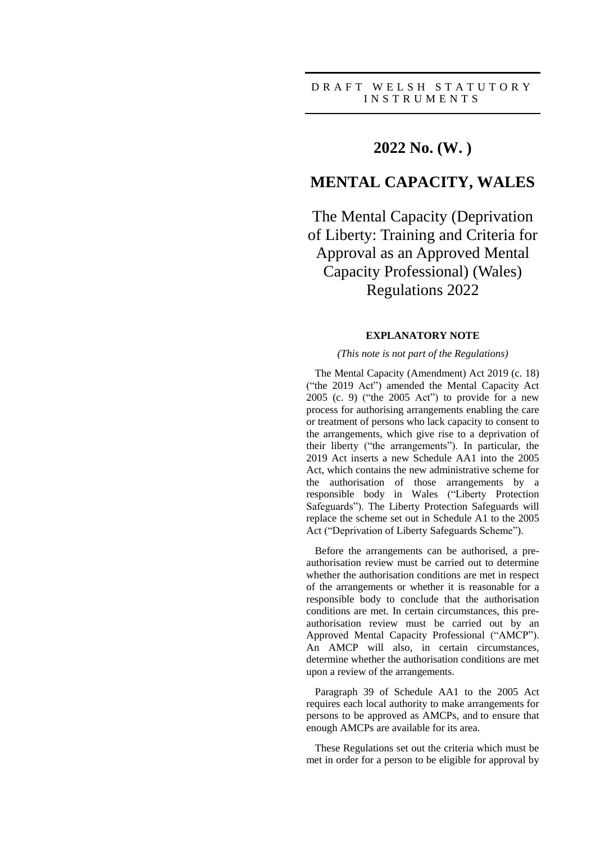## **2022 No. (W. )**

# **MENTAL CAPACITY, WALES**

The Mental Capacity (Deprivation of Liberty: Training and Criteria for Approval as an Approved Mental Capacity Professional) (Wales) Regulations 2022

## **EXPLANATORY NOTE**

#### *(This note is not part of the Regulations)*

The Mental Capacity (Amendment) Act 2019 (c. 18) ("the 2019 Act") amended the Mental Capacity Act  $2005$  (c. 9) ("the  $2005$  Act") to provide for a new process for authorising arrangements enabling the care or treatment of persons who lack capacity to consent to the arrangements, which give rise to a deprivation of their liberty ("the arrangements"). In particular, the 2019 Act inserts a new Schedule AA1 into the 2005 Act, which contains the new administrative scheme for the authorisation of those arrangements by a responsible body in Wales ("Liberty Protection Safeguards"). The Liberty Protection Safeguards will replace the scheme set out in Schedule A1 to the 2005 Act ("Deprivation of Liberty Safeguards Scheme").

Before the arrangements can be authorised, a preauthorisation review must be carried out to determine whether the authorisation conditions are met in respect of the arrangements or whether it is reasonable for a responsible body to conclude that the authorisation conditions are met. In certain circumstances, this preauthorisation review must be carried out by an Approved Mental Capacity Professional ("AMCP"). An AMCP will also, in certain circumstances, determine whether the authorisation conditions are met upon a review of the arrangements.

Paragraph 39 of Schedule AA1 to the 2005 Act requires each local authority to make arrangements for persons to be approved as AMCPs, and to ensure that enough AMCPs are available for its area.

These Regulations set out the criteria which must be met in order for a person to be eligible for approval by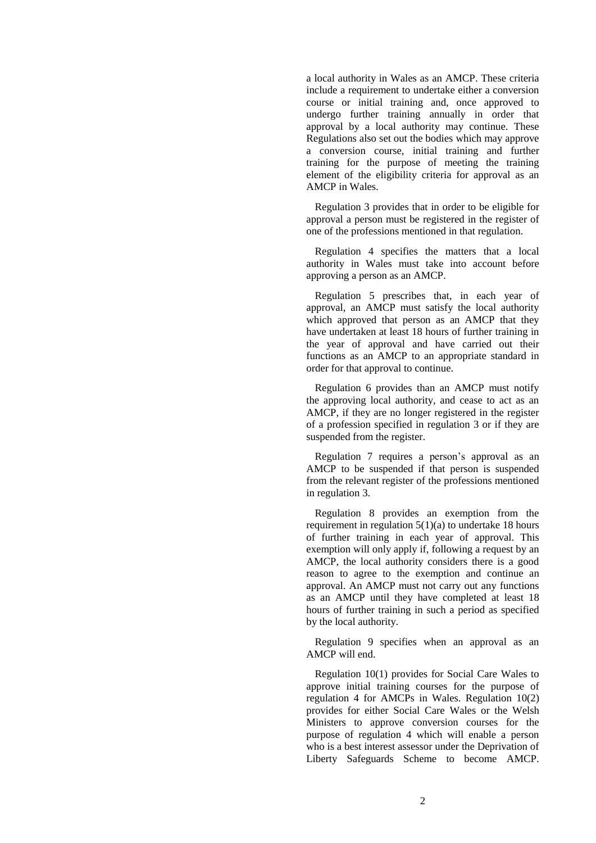a local authority in Wales as an AMCP. These criteria include a requirement to undertake either a conversion course or initial training and, once approved to undergo further training annually in order that approval by a local authority may continue. These Regulations also set out the bodies which may approve a conversion course, initial training and further training for the purpose of meeting the training element of the eligibility criteria for approval as an AMCP in Wales.

Regulation 3 provides that in order to be eligible for approval a person must be registered in the register of one of the professions mentioned in that regulation.

Regulation 4 specifies the matters that a local authority in Wales must take into account before approving a person as an AMCP.

Regulation 5 prescribes that, in each year of approval, an AMCP must satisfy the local authority which approved that person as an AMCP that they have undertaken at least 18 hours of further training in the year of approval and have carried out their functions as an AMCP to an appropriate standard in order for that approval to continue.

Regulation 6 provides than an AMCP must notify the approving local authority, and cease to act as an AMCP, if they are no longer registered in the register of a profession specified in regulation 3 or if they are suspended from the register.

Regulation 7 requires a person's approval as an AMCP to be suspended if that person is suspended from the relevant register of the professions mentioned in regulation 3.

Regulation 8 provides an exemption from the requirement in regulation  $5(1)(a)$  to undertake 18 hours of further training in each year of approval. This exemption will only apply if, following a request by an AMCP, the local authority considers there is a good reason to agree to the exemption and continue an approval. An AMCP must not carry out any functions as an AMCP until they have completed at least 18 hours of further training in such a period as specified by the local authority.

Regulation 9 specifies when an approval as an AMCP will end.

Regulation 10(1) provides for Social Care Wales to approve initial training courses for the purpose of regulation 4 for AMCPs in Wales. Regulation 10(2) provides for either Social Care Wales or the Welsh Ministers to approve conversion courses for the purpose of regulation 4 which will enable a person who is a best interest assessor under the Deprivation of Liberty Safeguards Scheme to become AMCP.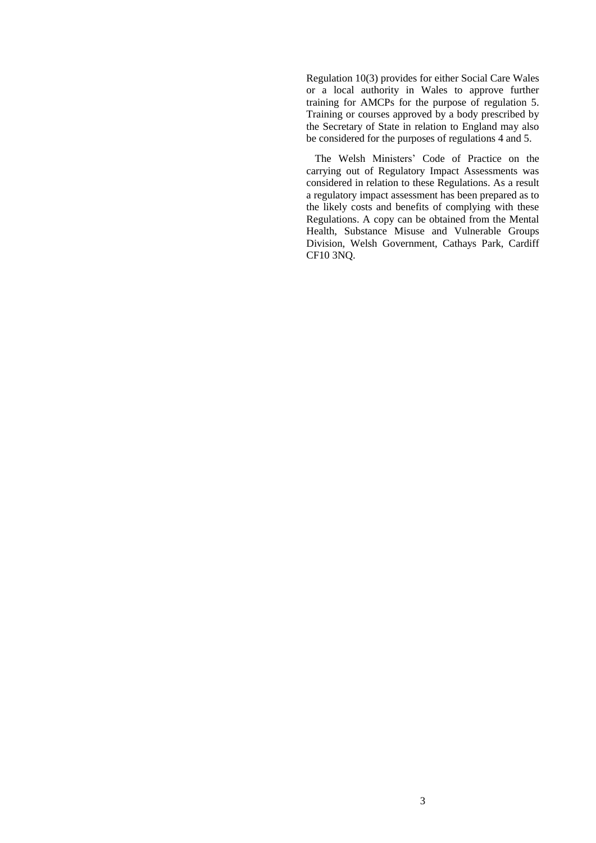Regulation 10(3) provides for either Social Care Wales or a local authority in Wales to approve further training for AMCPs for the purpose of regulation 5. Training or courses approved by a body prescribed by the Secretary of State in relation to England may also be considered for the purposes of regulations 4 and 5.

The Welsh Ministers' Code of Practice on the carrying out of Regulatory Impact Assessments was considered in relation to these Regulations. As a result a regulatory impact assessment has been prepared as to the likely costs and benefits of complying with these Regulations. A copy can be obtained from the Mental Health, Substance Misuse and Vulnerable Groups Division, Welsh Government, Cathays Park, Cardiff CF10 3NQ.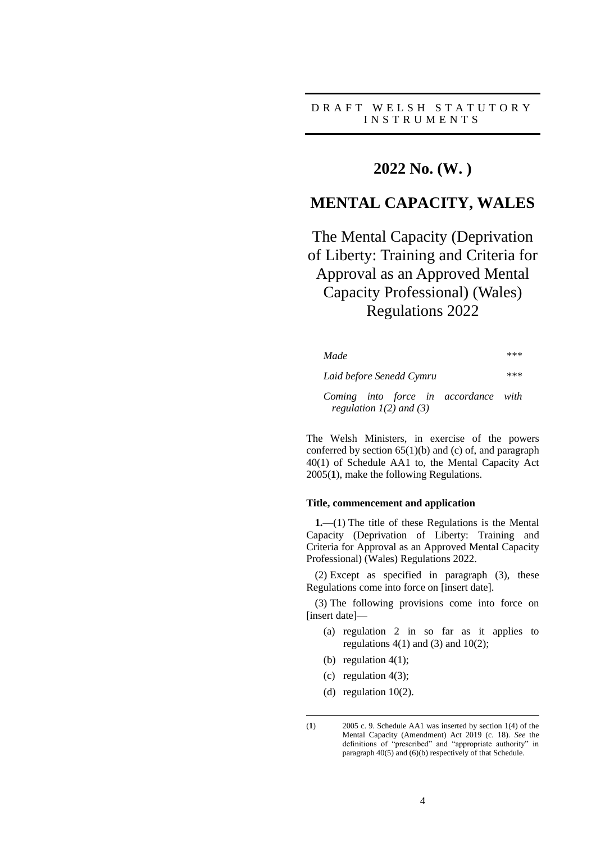DRAFT WELSH STATUTORY I N S T R U M E N T S

## **2022 No. (W. )**

# **MENTAL CAPACITY, WALES**

The Mental Capacity (Deprivation of Liberty: Training and Criteria for Approval as an Approved Mental Capacity Professional) (Wales) Regulations 2022

| Made                                                                | *** |  |
|---------------------------------------------------------------------|-----|--|
| Laid before Senedd Cymru                                            | *** |  |
| Coming into force in accordance with<br>regulation $1(2)$ and $(3)$ |     |  |

The Welsh Ministers, in exercise of the powers conferred by section  $65(1)(b)$  and  $(c)$  of, and paragraph 40(1) of Schedule AA1 to, the Mental Capacity Act 2005(**1**), make the following Regulations.

## **Title, commencement and application**

**1.**—(1) The title of these Regulations is the Mental Capacity (Deprivation of Liberty: Training and Criteria for Approval as an Approved Mental Capacity Professional) (Wales) Regulations 2022.

(2) Except as specified in paragraph (3), these Regulations come into force on [insert date].

(3) The following provisions come into force on [insert date]-

- (a) regulation 2 in so far as it applies to regulations  $4(1)$  and  $(3)$  and  $10(2)$ ;
- (b) regulation  $4(1)$ ;
- (c) regulation  $4(3)$ ;
- (d) regulation 10(2).

<sup>&</sup>lt;u>.</u> (**1**) 2005 c. 9. Schedule AA1 was inserted by section 1(4) of the Mental Capacity (Amendment) Act 2019 (c. 18). *See* the definitions of "prescribed" and "appropriate authority" in paragraph 40(5) and (6)(b) respectively of that Schedule.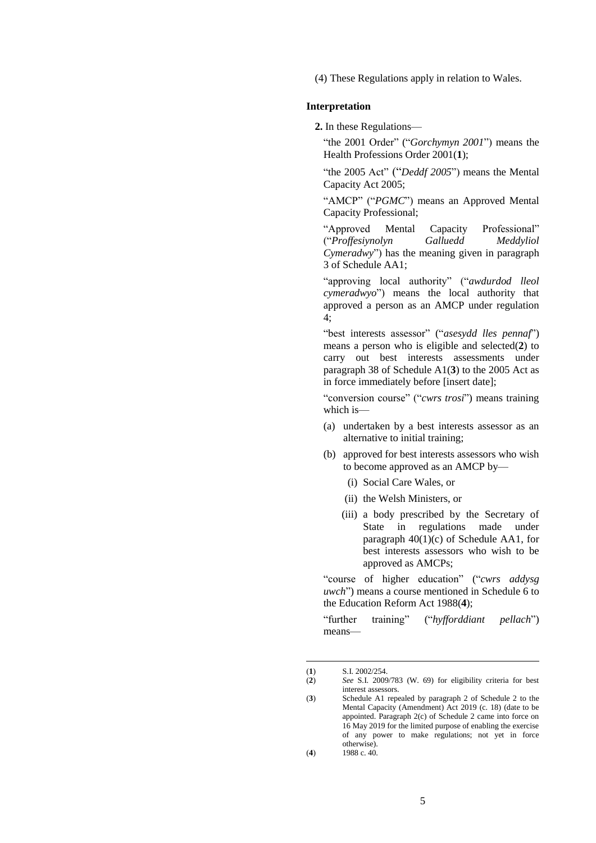(4) These Regulations apply in relation to Wales.

#### **Interpretation**

**2.** In these Regulations—

"the 2001 Order" ("*Gorchymyn 2001*") means the Health Professions Order 2001(**1**);

"the 2005 Act" ("*Deddf 2005*") means the Mental Capacity Act 2005;

"AMCP" ("PGMC") means an Approved Mental Capacity Professional;

"Approved Mental Capacity Professional" ("*Proffesiynolyn Galluedd Meddyliol Cymeradwy*") has the meaning given in paragraph 3 of Schedule AA1;

"approving local authority" ("*awdurdod lleol cymeradwyo*") means the local authority that approved a person as an AMCP under regulation 4;

"best interests assessor" ("*asesydd lles pennaf*") means a person who is eligible and selected(**2**) to carry out best interests assessments under paragraph 38 of Schedule A1(**3**) to the 2005 Act as in force immediately before [insert date];

"conversion course" ("*cwrs trosi*") means training which is—

- (a) undertaken by a best interests assessor as an alternative to initial training;
- (b) approved for best interests assessors who wish to become approved as an AMCP by—
	- (i) Social Care Wales, or
	- (ii) the Welsh Ministers, or
	- (iii) a body prescribed by the Secretary of State in regulations made under paragraph  $40(1)(c)$  of Schedule AA1, for best interests assessors who wish to be approved as AMCPs;

"course of higher education" ("*cwrs addysg uwch*") means a course mentioned in Schedule 6 to the Education Reform Act 1988(**4**);

"further training" ("*hyfforddiant pellach*") means—

<sup>(</sup>**1**) S.I. 2002/254.

<sup>(</sup>**2**) *See* S.I. 2009/783 (W. 69) for eligibility criteria for best interest assessors.

<sup>(</sup>**3**) Schedule A1 repealed by paragraph 2 of Schedule 2 to the Mental Capacity (Amendment) Act 2019 (c. 18) (date to be appointed. Paragraph 2(c) of Schedule 2 came into force on 16 May 2019 for the limited purpose of enabling the exercise of any power to make regulations; not yet in force otherwise). (**4**) 1988 c. 40.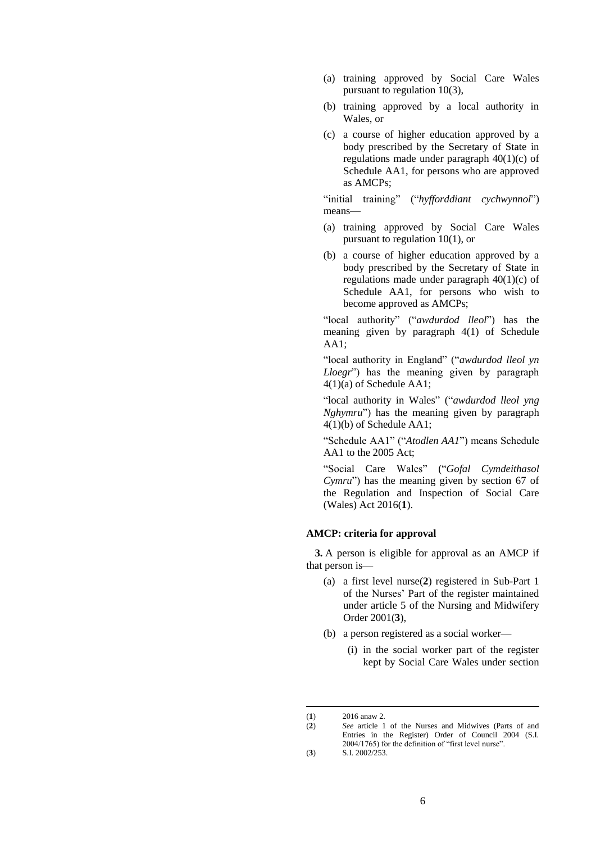- (a) training approved by Social Care Wales pursuant to regulation 10(3),
- (b) training approved by a local authority in Wales, or
- (c) a course of higher education approved by a body prescribed by the Secretary of State in regulations made under paragraph 40(1)(c) of Schedule AA1, for persons who are approved as AMCPs;

"initial training" ("*hyfforddiant cychwynnol*") means—

- (a) training approved by Social Care Wales pursuant to regulation 10(1), or
- (b) a course of higher education approved by a body prescribed by the Secretary of State in regulations made under paragraph 40(1)(c) of Schedule AA1, for persons who wish to become approved as AMCPs;

"local authority" ("*awdurdod lleol*") has the meaning given by paragraph 4(1) of Schedule AA1;

"local authority in England" ("*awdurdod lleol yn Lloegr*") has the meaning given by paragraph 4(1)(a) of Schedule AA1;

"local authority in Wales" ("*awdurdod lleol yng Nghymru*") has the meaning given by paragraph 4(1)(b) of Schedule AA1;

"Schedule AA1" ("*Atodlen AA1*") means Schedule AA1 to the 2005 Act;

"Social Care Wales" ("*Gofal Cymdeithasol Cymru*") has the meaning given by section 67 of the Regulation and Inspection of Social Care (Wales) Act 2016(**1**).

## **AMCP: criteria for approval**

**3.** A person is eligible for approval as an AMCP if that person is—

- (a) a first level nurse(**2**) registered in Sub-Part 1 of the Nurses' Part of the register maintained under article 5 of the Nursing and Midwifery Order 2001(**3**),
- (b) a person registered as a social worker—
	- (i) in the social worker part of the register kept by Social Care Wales under section

<sup>(</sup>**1**) 2016 anaw 2.

<sup>(</sup>**2**) *See* article 1 of the Nurses and Midwives (Parts of and Entries in the Register) Order of Council 2004 (S.I. 2004/1765) for the definition of "first level nurse".

<sup>(</sup>**3**) S.I. 2002/253.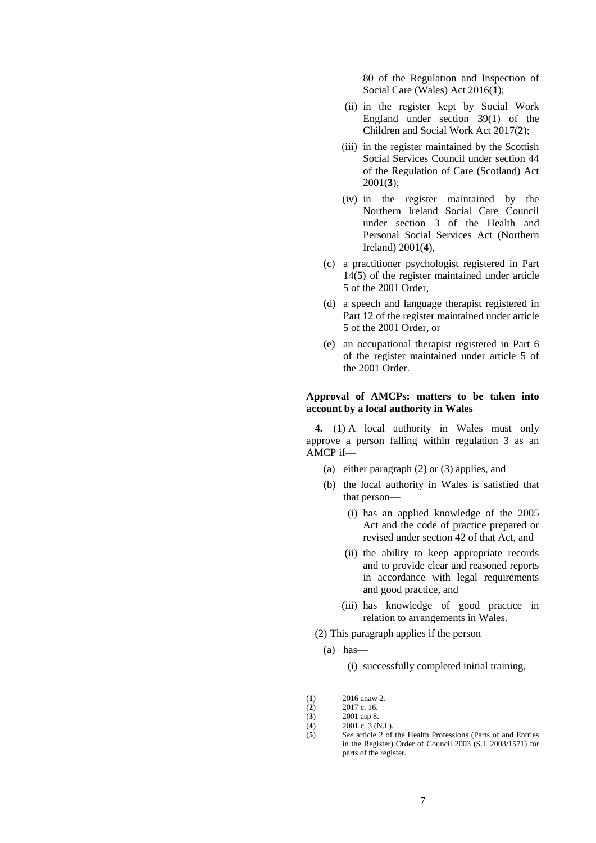80 of the Regulation and Inspection of Social Care (Wales) Act 2016(**1**);

- (ii) in the register kept by Social Work England under section 39(1) of the Children and Social Work Act 2017(**2**);
- (iii) in the register maintained by the Scottish Social Services Council under section 44 of the Regulation of Care (Scotland) Act 2001(**3**);
- (iv) in the register maintained by the Northern Ireland Social Care Council under section 3 of the Health and Personal Social Services Act (Northern Ireland) 2001(**4**),
- (c) a practitioner psychologist registered in Part 14(**5**) of the register maintained under article 5 of the 2001 Order,
- (d) a speech and language therapist registered in Part 12 of the register maintained under article 5 of the 2001 Order, or
- (e) an occupational therapist registered in Part 6 of the register maintained under article 5 of the 2001 Order.

### **Approval of AMCPs: matters to be taken into account by a local authority in Wales**

**4.**—(1) A local authority in Wales must only approve a person falling within regulation 3 as an AMCP if—

- (a) either paragraph (2) or (3) applies, and
- (b) the local authority in Wales is satisfied that that person—
	- (i) has an applied knowledge of the 2005 Act and the code of practice prepared or revised under section 42 of that Act, and
	- (ii) the ability to keep appropriate records and to provide clear and reasoned reports in accordance with legal requirements and good practice, and
	- (iii) has knowledge of good practice in relation to arrangements in Wales.

(2) This paragraph applies if the person—

- $(a)$  has—
	- (i) successfully completed initial training,

<sup>(</sup>**1**) 2016 anaw 2.<br>(**2**) 2017 c. 16.

<sup>(</sup>**2**) 2017 c. 16.<br>(**3**) 2001 asp 8.

<sup>(</sup>**3**)  $2001 \text{ asp 8.}$ <br>(**4**)  $2001 \text{ c. 3 (N)}$ 

<sup>(4) 2001</sup> c. 3 (N.I.).<br>(5) See article 2 of

<sup>(</sup>**5**) *See* article 2 of the Health Professions (Parts of and Entries in the Register) Order of Council 2003 (S.I. 2003/1571) for parts of the register.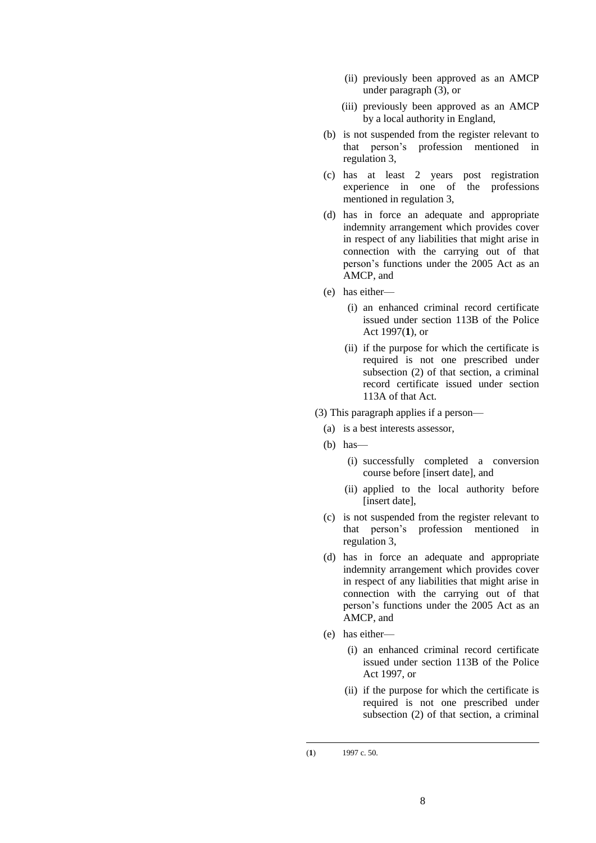- (ii) previously been approved as an AMCP under paragraph (3), or
- (iii) previously been approved as an AMCP by a local authority in England,
- (b) is not suspended from the register relevant to that person's profession mentioned in regulation 3,
- (c) has at least 2 years post registration experience in one of the professions mentioned in regulation 3,
- (d) has in force an adequate and appropriate indemnity arrangement which provides cover in respect of any liabilities that might arise in connection with the carrying out of that person's functions under the 2005 Act as an AMCP, and
- (e) has either—
	- (i) an enhanced criminal record certificate issued under section 113B of the Police Act 1997(**1**), or
	- (ii) if the purpose for which the certificate is required is not one prescribed under subsection (2) of that section, a criminal record certificate issued under section 113A of that Act.
- (3) This paragraph applies if a person—
	- (a) is a best interests assessor,
	- $(b)$  has—
		- (i) successfully completed a conversion course before [insert date], and
		- (ii) applied to the local authority before [insert date],
	- (c) is not suspended from the register relevant to that person's profession mentioned in regulation 3,
	- (d) has in force an adequate and appropriate indemnity arrangement which provides cover in respect of any liabilities that might arise in connection with the carrying out of that person's functions under the 2005 Act as an AMCP, and
	- (e) has either—
		- (i) an enhanced criminal record certificate issued under section 113B of the Police Act 1997, or
		- (ii) if the purpose for which the certificate is required is not one prescribed under subsection (2) of that section, a criminal

<sup>(</sup>**1**) 1997 c. 50.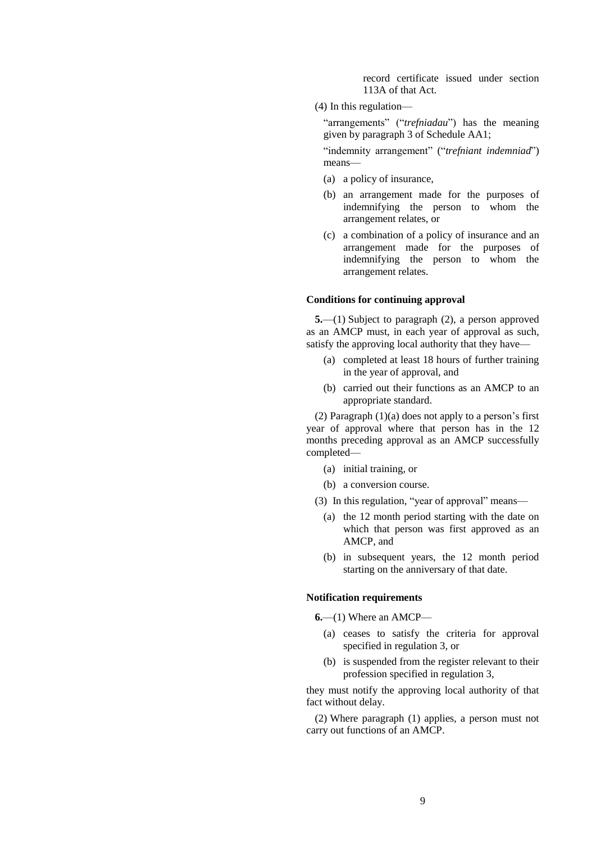record certificate issued under section 113A of that Act.

(4) In this regulation—

"arrangements" ("*trefniadau*") has the meaning given by paragraph 3 of Schedule AA1;

"indemnity arrangement" ("*trefniant indemniad*") means—

- (a) a policy of insurance,
- (b) an arrangement made for the purposes of indemnifying the person to whom the arrangement relates, or
- (c) a combination of a policy of insurance and an arrangement made for the purposes of indemnifying the person to whom the arrangement relates.

#### **Conditions for continuing approval**

**5.**—(1) Subject to paragraph (2), a person approved as an AMCP must, in each year of approval as such, satisfy the approving local authority that they have—

- (a) completed at least 18 hours of further training in the year of approval, and
- (b) carried out their functions as an AMCP to an appropriate standard.

(2) Paragraph (1)(a) does not apply to a person's first year of approval where that person has in the 12 months preceding approval as an AMCP successfully completed—

- (a) initial training, or
- (b) a conversion course.

(3) In this regulation, "year of approval" means—

- (a) the 12 month period starting with the date on which that person was first approved as an AMCP, and
- (b) in subsequent years, the 12 month period starting on the anniversary of that date.

#### **Notification requirements**

**6.**—(1) Where an AMCP—

- (a) ceases to satisfy the criteria for approval specified in regulation 3, or
- (b) is suspended from the register relevant to their profession specified in regulation 3,

they must notify the approving local authority of that fact without delay.

(2) Where paragraph (1) applies, a person must not carry out functions of an AMCP.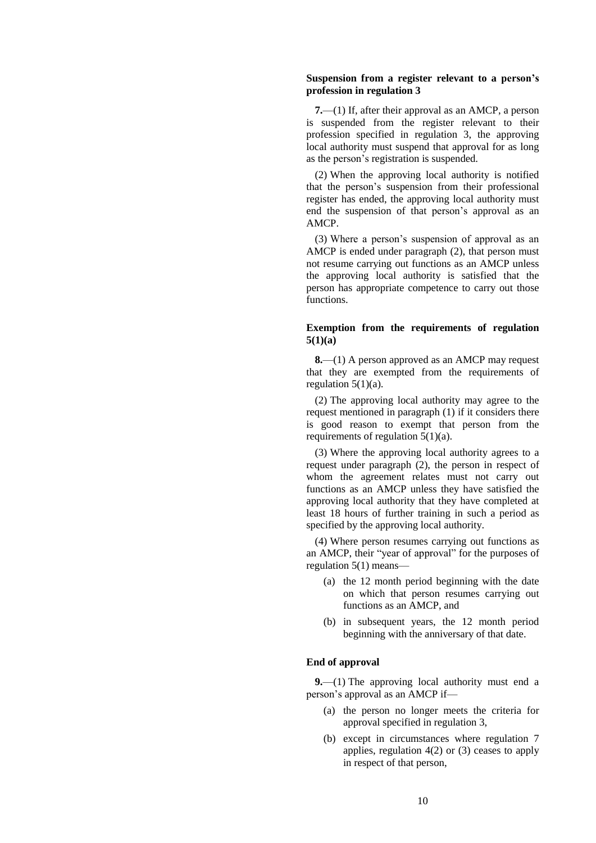#### **Suspension from a register relevant to a person's profession in regulation 3**

**7.**—(1) If, after their approval as an AMCP, a person is suspended from the register relevant to their profession specified in regulation 3, the approving local authority must suspend that approval for as long as the person's registration is suspended.

(2) When the approving local authority is notified that the person's suspension from their professional register has ended, the approving local authority must end the suspension of that person's approval as an AMCP.

(3) Where a person's suspension of approval as an AMCP is ended under paragraph (2), that person must not resume carrying out functions as an AMCP unless the approving local authority is satisfied that the person has appropriate competence to carry out those functions.

## **Exemption from the requirements of regulation 5(1)(a)**

**8.**—(1) A person approved as an AMCP may request that they are exempted from the requirements of regulation  $5(1)(a)$ .

(2) The approving local authority may agree to the request mentioned in paragraph (1) if it considers there is good reason to exempt that person from the requirements of regulation  $5(1)(a)$ .

(3) Where the approving local authority agrees to a request under paragraph (2), the person in respect of whom the agreement relates must not carry out functions as an AMCP unless they have satisfied the approving local authority that they have completed at least 18 hours of further training in such a period as specified by the approving local authority.

(4) Where person resumes carrying out functions as an AMCP, their "year of approval" for the purposes of regulation 5(1) means—

- (a) the 12 month period beginning with the date on which that person resumes carrying out functions as an AMCP, and
- (b) in subsequent years, the 12 month period beginning with the anniversary of that date.

## **End of approval**

**9.**—(1) The approving local authority must end a person's approval as an AMCP if—

- (a) the person no longer meets the criteria for approval specified in regulation 3,
- (b) except in circumstances where regulation 7 applies, regulation 4(2) or (3) ceases to apply in respect of that person,